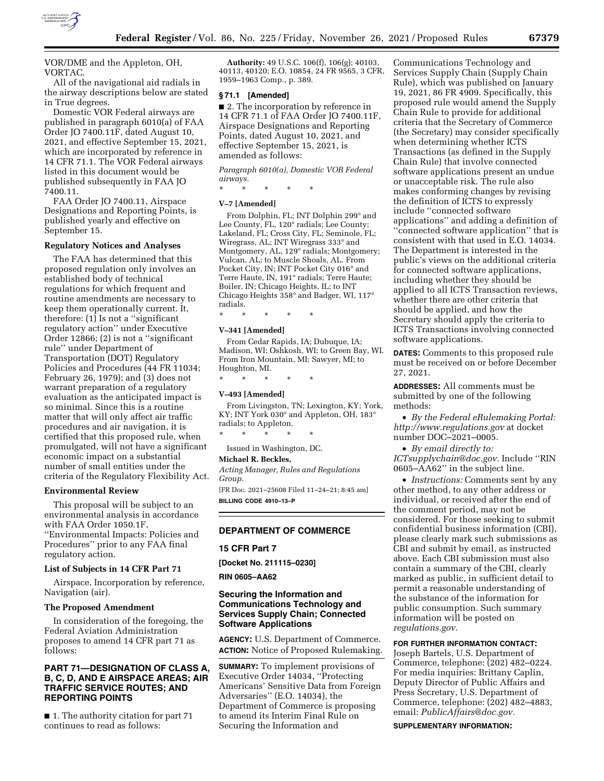

VOR/DME and the Appleton, OH, VORTAC.

All of the navigational aid radials in the airway descriptions below are stated in True degrees.

Domestic VOR Federal airways are published in paragraph 6010(a) of FAA Order JO 7400.11F, dated August 10, 2021, and effective September 15, 2021, which are incorporated by reference in 14 CFR 71.1. The VOR Federal airways listed in this document would be published subsequently in FAA JO 7400.11.

FAA Order JO 7400.11, Airspace Designations and Reporting Points, is published yearly and effective on September 15.

### **Regulatory Notices and Analyses**

The FAA has determined that this proposed regulation only involves an established body of technical regulations for which frequent and routine amendments are necessary to keep them operationally current. It, therefore: (1) Is not a ''significant regulatory action'' under Executive Order 12866; (2) is not a ''significant rule'' under Department of Transportation (DOT) Regulatory Policies and Procedures (44 FR 11034; February 26, 1979); and (3) does not warrant preparation of a regulatory evaluation as the anticipated impact is so minimal. Since this is a routine matter that will only affect air traffic procedures and air navigation, it is certified that this proposed rule, when promulgated, will not have a significant economic impact on a substantial number of small entities under the criteria of the Regulatory Flexibility Act.

#### **Environmental Review**

This proposal will be subject to an environmental analysis in accordance with FAA Order 1050.1F, ''Environmental Impacts: Policies and Procedures'' prior to any FAA final regulatory action.

### **List of Subjects in 14 CFR Part 71**

Airspace, Incorporation by reference, Navigation (air).

### **The Proposed Amendment**

In consideration of the foregoing, the Federal Aviation Administration proposes to amend 14 CFR part 71 as follows:

# **PART 71—DESIGNATION OF CLASS A, B, C, D, AND E AIRSPACE AREAS; AIR TRAFFIC SERVICE ROUTES; AND REPORTING POINTS**

■ 1. The authority citation for part 71 continues to read as follows:

**Authority:** 49 U.S.C. 106(f), 106(g); 40103, 40113, 40120; E.O. 10854, 24 FR 9565, 3 CFR, 1959–1963 Comp., p. 389.

### **§ 71.1 [Amended]**

■ 2. The incorporation by reference in 14 CFR 71.1 of FAA Order JO 7400.11F, Airspace Designations and Reporting Points, dated August 10, 2021, and effective September 15, 2021, is amended as follows:

*Paragraph 6010(a), Domestic VOR Federal airways.* 

\* \* \* \* \*

#### **V–7 [Amended]**

From Dolphin, FL; INT Dolphin 299° and Lee County, FL, 120° radials; Lee County; Lakeland, FL; Cross City, FL; Seminole, FL; Wiregrass, AL; INT Wiregrass 333° and Montgomery, AL, 129° radials; Montgomery; Vulcan, AL; to Muscle Shoals, AL. From Pocket City, IN; INT Pocket City 016° and Terre Haute, IN, 191° radials; Terre Haute; Boiler, IN; Chicago Heights, IL; to INT Chicago Heights 358° and Badger, WI, 117° radials.

\* \* \* \* \*

# **V–341 [Amended]**

From Cedar Rapids, IA; Dubuque, IA; Madison, WI; Oshkosh, WI; to Green Bay, WI. From Iron Mountain, MI; Sawyer, MI; to Houghton, MI.

\* \* \* \* \*

### **V–493 [Amended]**

From Livingston, TN; Lexington, KY; York, KY; INT York 030° and Appleton, OH, 183° radials; to Appleton. \* \* \* \* \*

Issued in Washington, DC.

### **Michael R. Beckles,**

*Acting Manager, Rules and Regulations Group.* 

[FR Doc. 2021–25608 Filed 11–24–21; 8:45 am] **BILLING CODE 4910–13–P** 

# **DEPARTMENT OF COMMERCE**

**15 CFR Part 7** 

**[Docket No. 211115–0230]** 

**RIN 0605–AA62** 

# **Securing the Information and Communications Technology and Services Supply Chain; Connected Software Applications**

**AGENCY:** U.S. Department of Commerce. **ACTION:** Notice of Proposed Rulemaking.

**SUMMARY:** To implement provisions of Executive Order 14034, ''Protecting Americans' Sensitive Data from Foreign Adversaries'' (E.O. 14034), the Department of Commerce is proposing to amend its Interim Final Rule on Securing the Information and

Communications Technology and Services Supply Chain (Supply Chain Rule), which was published on January 19, 2021, 86 FR 4909. Specifically, this proposed rule would amend the Supply Chain Rule to provide for additional criteria that the Secretary of Commerce (the Secretary) may consider specifically when determining whether ICTS Transactions (as defined in the Supply Chain Rule) that involve connected software applications present an undue or unacceptable risk. The rule also makes conforming changes by revising the definition of ICTS to expressly include ''connected software applications'' and adding a definition of ''connected software application'' that is consistent with that used in E.O. 14034. The Department is interested in the public's views on the additional criteria for connected software applications, including whether they should be applied to all ICTS Transaction reviews, whether there are other criteria that should be applied, and how the Secretary should apply the criteria to ICTS Transactions involving connected software applications.

**DATES:** Comments to this proposed rule must be received on or before December 27, 2021.

**ADDRESSES:** All comments must be submitted by one of the following methods:

• *By the Federal eRulemaking Portal: <http://www.regulations.gov>* at docket number DOC–2021–0005.

• *By email directly to: [ICTsupplychain@doc.gov.](mailto:ICTsupplychain@doc.gov)* Include ''RIN 0605–AA62'' in the subject line.

• *Instructions:* Comments sent by any other method, to any other address or individual, or received after the end of the comment period, may not be considered. For those seeking to submit confidential business information (CBI), please clearly mark such submissions as CBI and submit by email, as instructed above. Each CBI submission must also contain a summary of the CBI, clearly marked as public, in sufficient detail to permit a reasonable understanding of the substance of the information for public consumption. Such summary information will be posted on *regulations.gov.* 

### **FOR FURTHER INFORMATION CONTACT:**

Joseph Bartels, U.S. Department of Commerce, telephone: (202) 482–0224. For media inquiries: Brittany Caplin, Deputy Director of Public Affairs and Press Secretary, U.S. Department of Commerce, telephone: (202) 482–4883, email: *[PublicAffairs@doc.gov.](mailto:PublicAffairs@doc.gov)* 

**SUPPLEMENTARY INFORMATION:**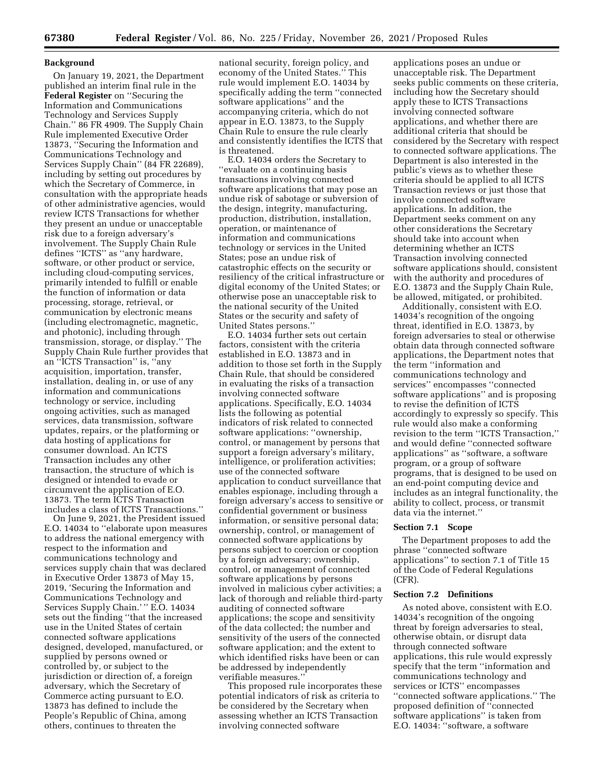### **Background**

On January 19, 2021, the Department published an interim final rule in the **Federal Register** on ''Securing the Information and Communications Technology and Services Supply Chain.'' 86 FR 4909. The Supply Chain Rule implemented Executive Order 13873, ''Securing the Information and Communications Technology and Services Supply Chain'' (84 FR 22689), including by setting out procedures by which the Secretary of Commerce, in consultation with the appropriate heads of other administrative agencies, would review ICTS Transactions for whether they present an undue or unacceptable risk due to a foreign adversary's involvement. The Supply Chain Rule defines ''ICTS'' as ''any hardware, software, or other product or service, including cloud-computing services, primarily intended to fulfill or enable the function of information or data processing, storage, retrieval, or communication by electronic means (including electromagnetic, magnetic, and photonic), including through transmission, storage, or display.'' The Supply Chain Rule further provides that an ''ICTS Transaction'' is, ''any acquisition, importation, transfer, installation, dealing in, or use of any information and communications technology or service, including ongoing activities, such as managed services, data transmission, software updates, repairs, or the platforming or data hosting of applications for consumer download. An ICTS Transaction includes any other transaction, the structure of which is designed or intended to evade or circumvent the application of E.O. 13873. The term ICTS Transaction includes a class of ICTS Transactions.''

On June 9, 2021, the President issued E.O. 14034 to ''elaborate upon measures to address the national emergency with respect to the information and communications technology and services supply chain that was declared in Executive Order 13873 of May 15, 2019, 'Securing the Information and Communications Technology and Services Supply Chain.'" E.O. 14034 sets out the finding ''that the increased use in the United States of certain connected software applications designed, developed, manufactured, or supplied by persons owned or controlled by, or subject to the jurisdiction or direction of, a foreign adversary, which the Secretary of Commerce acting pursuant to E.O. 13873 has defined to include the People's Republic of China, among others, continues to threaten the

national security, foreign policy, and economy of the United States.'' This rule would implement E.O. 14034 by specifically adding the term ''connected software applications'' and the accompanying criteria, which do not appear in E.O. 13873, to the Supply Chain Rule to ensure the rule clearly and consistently identifies the ICTS that is threatened.

E.O. 14034 orders the Secretary to ''evaluate on a continuing basis transactions involving connected software applications that may pose an undue risk of sabotage or subversion of the design, integrity, manufacturing, production, distribution, installation, operation, or maintenance of information and communications technology or services in the United States; pose an undue risk of catastrophic effects on the security or resiliency of the critical infrastructure or digital economy of the United States; or otherwise pose an unacceptable risk to the national security of the United States or the security and safety of United States persons.''

E.O. 14034 further sets out certain factors, consistent with the criteria established in E.O. 13873 and in addition to those set forth in the Supply Chain Rule, that should be considered in evaluating the risks of a transaction involving connected software applications. Specifically, E.O. 14034 lists the following as potential indicators of risk related to connected software applications: ''ownership, control, or management by persons that support a foreign adversary's military, intelligence, or proliferation activities; use of the connected software application to conduct surveillance that enables espionage, including through a foreign adversary's access to sensitive or confidential government or business information, or sensitive personal data; ownership, control, or management of connected software applications by persons subject to coercion or cooption by a foreign adversary; ownership, control, or management of connected software applications by persons involved in malicious cyber activities; a lack of thorough and reliable third-party auditing of connected software applications; the scope and sensitivity of the data collected; the number and sensitivity of the users of the connected software application; and the extent to which identified risks have been or can be addressed by independently verifiable measures.''

This proposed rule incorporates these potential indicators of risk as criteria to be considered by the Secretary when assessing whether an ICTS Transaction involving connected software

applications poses an undue or unacceptable risk. The Department seeks public comments on these criteria, including how the Secretary should apply these to ICTS Transactions involving connected software applications, and whether there are additional criteria that should be considered by the Secretary with respect to connected software applications. The Department is also interested in the public's views as to whether these criteria should be applied to all ICTS Transaction reviews or just those that involve connected software applications. In addition, the Department seeks comment on any other considerations the Secretary should take into account when determining whether an ICTS Transaction involving connected software applications should, consistent with the authority and procedures of E.O. 13873 and the Supply Chain Rule, be allowed, mitigated, or prohibited.

Additionally, consistent with E.O. 14034's recognition of the ongoing threat, identified in E.O. 13873, by foreign adversaries to steal or otherwise obtain data through connected software applications, the Department notes that the term ''information and communications technology and services'' encompasses ''connected software applications'' and is proposing to revise the definition of ICTS accordingly to expressly so specify. This rule would also make a conforming revision to the term ''ICTS Transaction,'' and would define ''connected software applications'' as ''software, a software program, or a group of software programs, that is designed to be used on an end-point computing device and includes as an integral functionality, the ability to collect, process, or transmit data via the internet.''

#### **Section 7.1 Scope**

The Department proposes to add the phrase ''connected software applications'' to section 7.1 of Title 15 of the Code of Federal Regulations (CFR).

### **Section 7.2 Definitions**

As noted above, consistent with E.O. 14034's recognition of the ongoing threat by foreign adversaries to steal, otherwise obtain, or disrupt data through connected software applications, this rule would expressly specify that the term ''information and communications technology and services or ICTS'' encompasses ''connected software applications.'' The proposed definition of ''connected software applications'' is taken from E.O. 14034: ''software, a software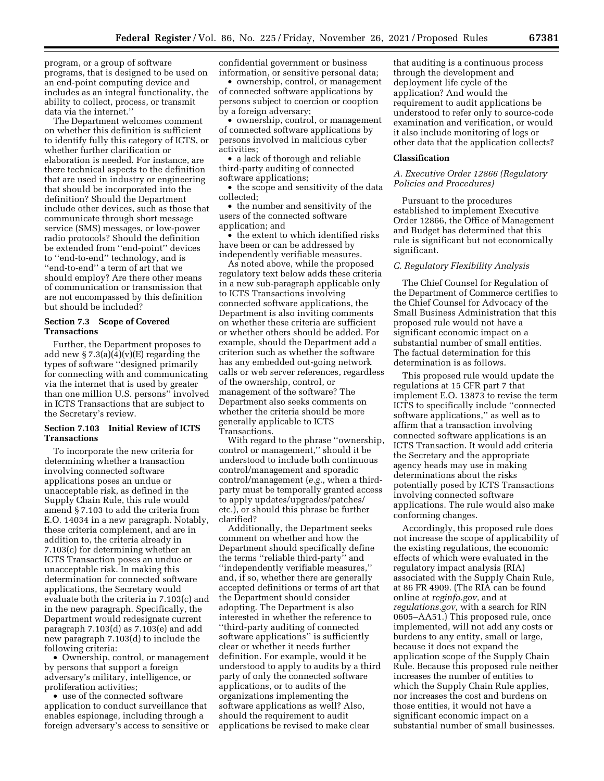program, or a group of software programs, that is designed to be used on an end-point computing device and includes as an integral functionality, the ability to collect, process, or transmit data via the internet.''

The Department welcomes comment on whether this definition is sufficient to identify fully this category of ICTS, or whether further clarification or elaboration is needed. For instance, are there technical aspects to the definition that are used in industry or engineering that should be incorporated into the definition? Should the Department include other devices, such as those that communicate through short message service (SMS) messages, or low-power radio protocols? Should the definition be extended from ''end-point'' devices to ''end-to-end'' technology, and is ''end-to-end'' a term of art that we should employ? Are there other means of communication or transmission that are not encompassed by this definition but should be included?

# **Section 7.3 Scope of Covered Transactions**

Further, the Department proposes to add new  $\S 7.3(a)(4)(v)(E)$  regarding the types of software ''designed primarily for connecting with and communicating via the internet that is used by greater than one million U.S. persons'' involved in ICTS Transactions that are subject to the Secretary's review.

# **Section 7.103 Initial Review of ICTS Transactions**

To incorporate the new criteria for determining whether a transaction involving connected software applications poses an undue or unacceptable risk, as defined in the Supply Chain Rule, this rule would amend § 7.103 to add the criteria from E.O. 14034 in a new paragraph. Notably, these criteria complement, and are in addition to, the criteria already in 7.103(c) for determining whether an ICTS Transaction poses an undue or unacceptable risk. In making this determination for connected software applications, the Secretary would evaluate both the criteria in 7.103(c) and in the new paragraph. Specifically, the Department would redesignate current paragraph 7.103(d) as 7.103(e) and add new paragraph 7.103(d) to include the following criteria:

• Ownership, control, or management by persons that support a foreign adversary's military, intelligence, or proliferation activities;

• use of the connected software application to conduct surveillance that enables espionage, including through a foreign adversary's access to sensitive or confidential government or business information, or sensitive personal data;

• ownership, control, or management of connected software applications by persons subject to coercion or cooption by a foreign adversary;

• ownership, control, or management of connected software applications by persons involved in malicious cyber activities;

• a lack of thorough and reliable third-party auditing of connected software applications;

• the scope and sensitivity of the data collected;

• the number and sensitivity of the users of the connected software application; and

• the extent to which identified risks have been or can be addressed by independently verifiable measures.

As noted above, while the proposed regulatory text below adds these criteria in a new sub-paragraph applicable only to ICTS Transactions involving connected software applications, the Department is also inviting comments on whether these criteria are sufficient or whether others should be added. For example, should the Department add a criterion such as whether the software has any embedded out-going network calls or web server references, regardless of the ownership, control, or management of the software? The Department also seeks comments on whether the criteria should be more generally applicable to ICTS Transactions.

With regard to the phrase ''ownership, control or management,'' should it be understood to include both continuous control/management and sporadic control/management (*e.g.,* when a thirdparty must be temporally granted access to apply updates/upgrades/patches/ etc.), or should this phrase be further clarified?

Additionally, the Department seeks comment on whether and how the Department should specifically define the terms ''reliable third-party'' and ''independently verifiable measures,'' and, if so, whether there are generally accepted definitions or terms of art that the Department should consider adopting. The Department is also interested in whether the reference to ''third-party auditing of connected software applications'' is sufficiently clear or whether it needs further definition. For example, would it be understood to apply to audits by a third party of only the connected software applications, or to audits of the organizations implementing the software applications as well? Also, should the requirement to audit applications be revised to make clear

that auditing is a continuous process through the development and deployment life cycle of the application? And would the requirement to audit applications be understood to refer only to source-code examination and verification, or would it also include monitoring of logs or other data that the application collects?

### **Classification**

*A. Executive Order 12866 (Regulatory Policies and Procedures)* 

Pursuant to the procedures established to implement Executive Order 12866, the Office of Management and Budget has determined that this rule is significant but not economically significant.

# *C. Regulatory Flexibility Analysis*

The Chief Counsel for Regulation of the Department of Commerce certifies to the Chief Counsel for Advocacy of the Small Business Administration that this proposed rule would not have a significant economic impact on a substantial number of small entities. The factual determination for this determination is as follows.

This proposed rule would update the regulations at 15 CFR part 7 that implement E.O. 13873 to revise the term ICTS to specifically include ''connected software applications,'' as well as to affirm that a transaction involving connected software applications is an ICTS Transaction. It would add criteria the Secretary and the appropriate agency heads may use in making determinations about the risks potentially posed by ICTS Transactions involving connected software applications. The rule would also make conforming changes.

Accordingly, this proposed rule does not increase the scope of applicability of the existing regulations, the economic effects of which were evaluated in the regulatory impact analysis (RIA) associated with the Supply Chain Rule, at 86 FR 4909. (The RIA can be found online at *reginfo.gov,* and at *regulations.gov,* with a search for RIN 0605–AA51.) This proposed rule, once implemented, will not add any costs or burdens to any entity, small or large, because it does not expand the application scope of the Supply Chain Rule. Because this proposed rule neither increases the number of entities to which the Supply Chain Rule applies, nor increases the cost and burdens on those entities, it would not have a significant economic impact on a substantial number of small businesses.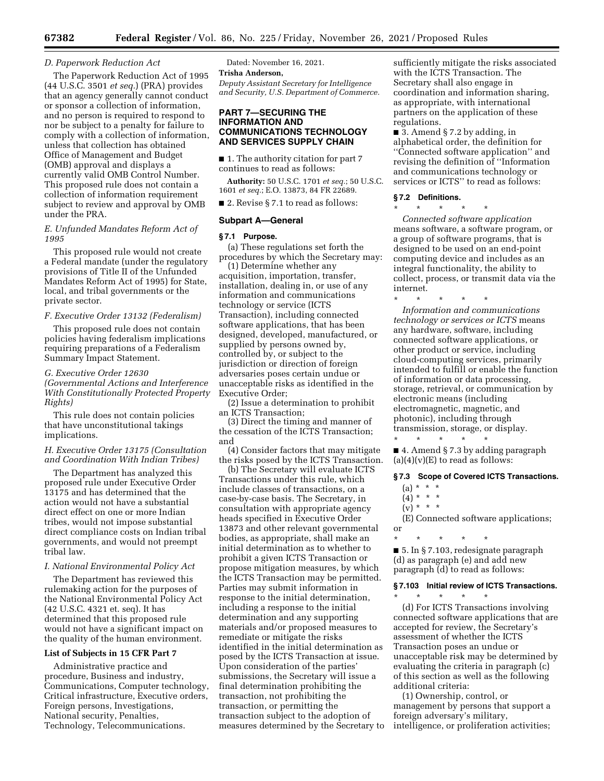### *D. Paperwork Reduction Act*

The Paperwork Reduction Act of 1995 (44 U.S.C. 3501 *et seq.*) (PRA) provides that an agency generally cannot conduct or sponsor a collection of information, and no person is required to respond to nor be subject to a penalty for failure to comply with a collection of information, unless that collection has obtained Office of Management and Budget (OMB) approval and displays a currently valid OMB Control Number. This proposed rule does not contain a collection of information requirement subject to review and approval by OMB under the PRA.

# *E. Unfunded Mandates Reform Act of 1995*

This proposed rule would not create a Federal mandate (under the regulatory provisions of Title II of the Unfunded Mandates Reform Act of 1995) for State, local, and tribal governments or the private sector.

### *F. Executive Order 13132 (Federalism)*

This proposed rule does not contain policies having federalism implications requiring preparations of a Federalism Summary Impact Statement.

# *G. Executive Order 12630*

*(Governmental Actions and Interference With Constitutionally Protected Property Rights)* 

This rule does not contain policies that have unconstitutional takings implications.

# *H. Executive Order 13175 (Consultation and Coordination With Indian Tribes)*

The Department has analyzed this proposed rule under Executive Order 13175 and has determined that the action would not have a substantial direct effect on one or more Indian tribes, would not impose substantial direct compliance costs on Indian tribal governments, and would not preempt tribal law.

### *I. National Environmental Policy Act*

The Department has reviewed this rulemaking action for the purposes of the National Environmental Policy Act (42 U.S.C. 4321 et. seq). It has determined that this proposed rule would not have a significant impact on the quality of the human environment.

### **List of Subjects in 15 CFR Part 7**

Administrative practice and procedure, Business and industry, Communications, Computer technology, Critical infrastructure, Executive orders, Foreign persons, Investigations, National security, Penalties, Technology, Telecommunications.

Dated: November 16, 2021. **Trisha Anderson,** 

*Deputy Assistant Secretary for Intelligence* 

# *and Security, U.S. Department of Commerce.*  **PART 7—SECURING THE**

# **INFORMATION AND COMMUNICATIONS TECHNOLOGY AND SERVICES SUPPLY CHAIN**

■ 1. The authority citation for part 7 continues to read as follows:

**Authority:** 50 U.S.C. 1701 *et seq.*; 50 U.S.C. 1601 *et seq.*; E.O. 13873, 84 FR 22689.

■ 2. Revise § 7.1 to read as follows:

### **Subpart A—General**

#### **§ 7.1 Purpose.**

(a) These regulations set forth the procedures by which the Secretary may:

(1) Determine whether any acquisition, importation, transfer, installation, dealing in, or use of any information and communications technology or service (ICTS Transaction), including connected software applications, that has been designed, developed, manufactured, or supplied by persons owned by, controlled by, or subject to the jurisdiction or direction of foreign adversaries poses certain undue or unacceptable risks as identified in the Executive Order;

(2) Issue a determination to prohibit an ICTS Transaction;

(3) Direct the timing and manner of the cessation of the ICTS Transaction; and

(4) Consider factors that may mitigate the risks posed by the ICTS Transaction.

(b) The Secretary will evaluate ICTS Transactions under this rule, which include classes of transactions, on a case-by-case basis. The Secretary, in consultation with appropriate agency heads specified in Executive Order 13873 and other relevant governmental bodies, as appropriate, shall make an initial determination as to whether to prohibit a given ICTS Transaction or propose mitigation measures, by which the ICTS Transaction may be permitted. Parties may submit information in response to the initial determination, including a response to the initial determination and any supporting materials and/or proposed measures to remediate or mitigate the risks identified in the initial determination as posed by the ICTS Transaction at issue. Upon consideration of the parties' submissions, the Secretary will issue a final determination prohibiting the transaction, not prohibiting the transaction, or permitting the transaction subject to the adoption of measures determined by the Secretary to

sufficiently mitigate the risks associated with the ICTS Transaction. The Secretary shall also engage in coordination and information sharing, as appropriate, with international partners on the application of these regulations.

■ 3. Amend § 7.2 by adding, in alphabetical order, the definition for ''Connected software application'' and revising the definition of ''Information and communications technology or services or ICTS'' to read as follows:

#### **§ 7.2 Definitions.**

\* \* \* \* \*

*Connected software application*  means software, a software program, or a group of software programs, that is designed to be used on an end-point computing device and includes as an integral functionality, the ability to collect, process, or transmit data via the internet.

\* \* \* \* \* *Information and communications technology or services or ICTS* means any hardware, software, including connected software applications, or other product or service, including cloud-computing services, primarily intended to fulfill or enable the function of information or data processing, storage, retrieval, or communication by electronic means (including electromagnetic, magnetic, and photonic), including through transmission, storage, or display. \* \* \* \* \*

■ 4. Amend § 7.3 by adding paragraph  $(a)(4)(v)(E)$  to read as follows:

### **§ 7.3 Scope of Covered ICTS Transactions.**

- (a) \* \* \*
- $(4) * * * *$
- $(v) * * * *$

(E) Connected software applications; or

\* \* \* \* \* ■ 5. In § 7.103, redesignate paragraph (d) as paragraph (e) and add new paragraph (d) to read as follows:

# **§ 7.103 Initial review of ICTS Transactions.**

\* \* \* \* \* (d) For ICTS Transactions involving connected software applications that are accepted for review, the Secretary's assessment of whether the ICTS Transaction poses an undue or unacceptable risk may be determined by evaluating the criteria in paragraph (c) of this section as well as the following additional criteria:

(1) Ownership, control, or management by persons that support a foreign adversary's military, intelligence, or proliferation activities;